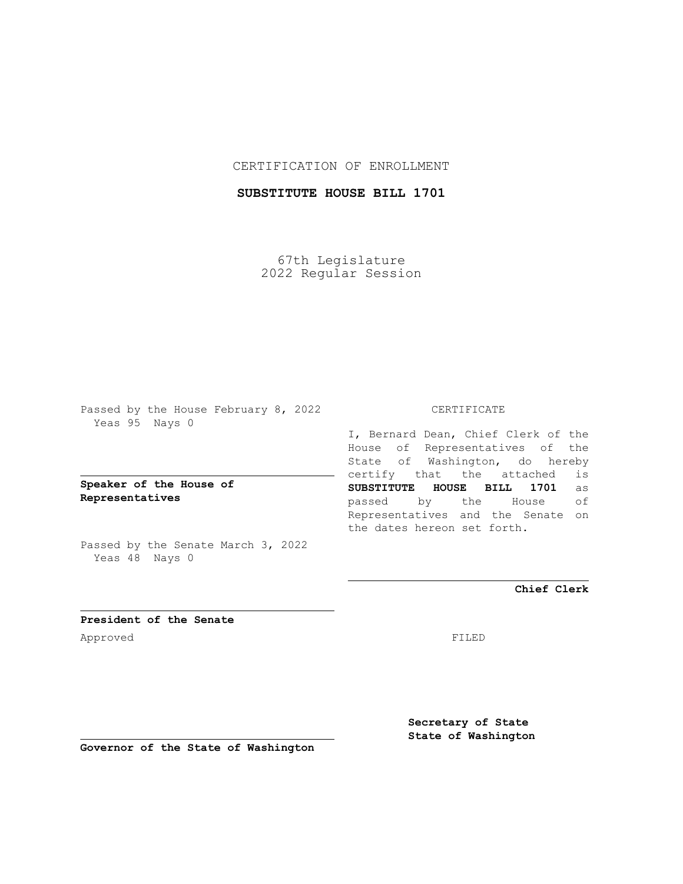### CERTIFICATION OF ENROLLMENT

## **SUBSTITUTE HOUSE BILL 1701**

67th Legislature 2022 Regular Session

Passed by the House February 8, 2022 Yeas 95 Nays 0

**Speaker of the House of Representatives**

Passed by the Senate March 3, 2022 Yeas 48 Nays 0

#### CERTIFICATE

I, Bernard Dean, Chief Clerk of the House of Representatives of the State of Washington, do hereby certify that the attached is **SUBSTITUTE HOUSE BILL 1701** as passed by the House of Representatives and the Senate on the dates hereon set forth.

**Chief Clerk**

**President of the Senate** Approved FILED

**Secretary of State State of Washington**

**Governor of the State of Washington**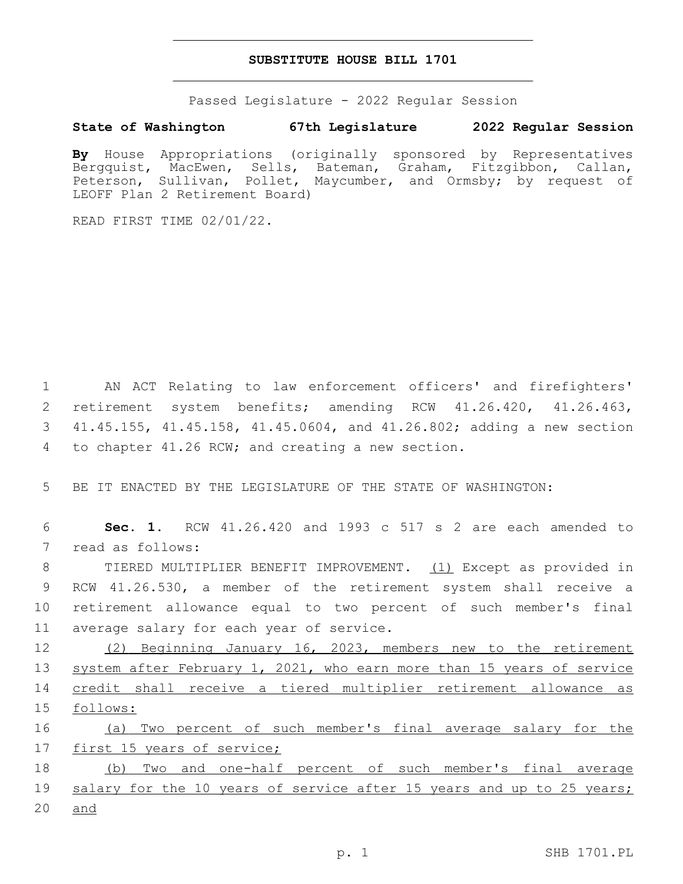#### **SUBSTITUTE HOUSE BILL 1701**

Passed Legislature - 2022 Regular Session

# **State of Washington 67th Legislature 2022 Regular Session**

**By** House Appropriations (originally sponsored by Representatives Bergquist, MacEwen, Sells, Bateman, Graham, Fitzgibbon, Callan, Peterson, Sullivan, Pollet, Maycumber, and Ormsby; by request of LEOFF Plan 2 Retirement Board)

READ FIRST TIME 02/01/22.

 AN ACT Relating to law enforcement officers' and firefighters' retirement system benefits; amending RCW 41.26.420, 41.26.463, 41.45.155, 41.45.158, 41.45.0604, and 41.26.802; adding a new section 4 to chapter 41.26 RCW; and creating a new section.

5 BE IT ENACTED BY THE LEGISLATURE OF THE STATE OF WASHINGTON:

6 **Sec. 1.** RCW 41.26.420 and 1993 c 517 s 2 are each amended to 7 read as follows:

 TIERED MULTIPLIER BENEFIT IMPROVEMENT. (1) Except as provided in RCW 41.26.530, a member of the retirement system shall receive a retirement allowance equal to two percent of such member's final 11 average salary for each year of service.

 (2) Beginning January 16, 2023, members new to the retirement system after February 1, 2021, who earn more than 15 years of service credit shall receive a tiered multiplier retirement allowance as 15 follows:

16 (a) Two percent of such member's final average salary for the 17 first 15 years of service;

18 (b) Two and one-half percent of such member's final average 19 salary for the 10 years of service after 15 years and up to 25 years; 20 and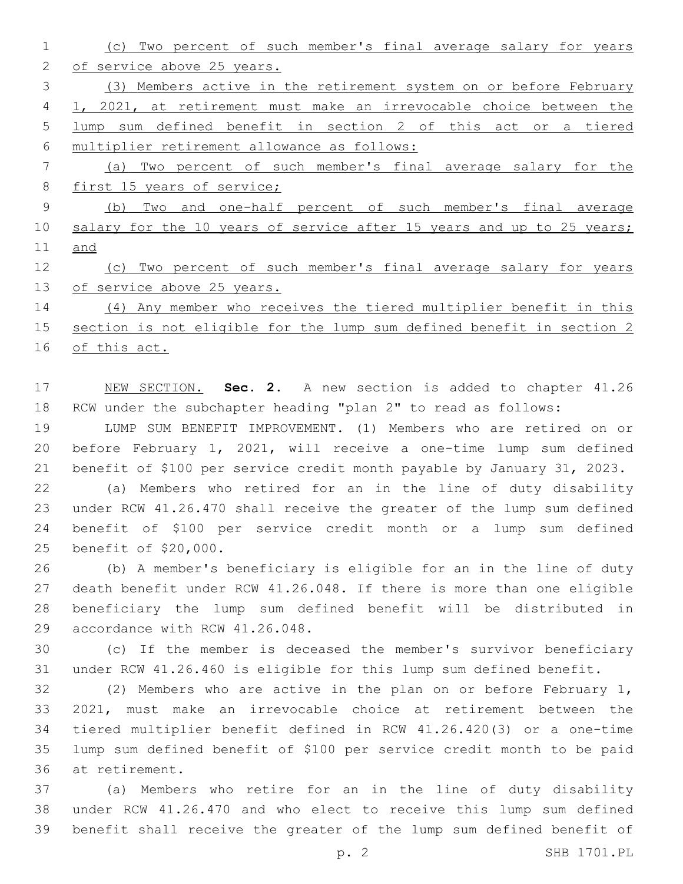(c) Two percent of such member's final average salary for years of service above 25 years. (3) Members active in the retirement system on or before February 1, 2021, at retirement must make an irrevocable choice between the lump sum defined benefit in section 2 of this act or a tiered multiplier retirement allowance as follows: (a) Two percent of such member's final average salary for the 8 first 15 years of service; (b) Two and one-half percent of such member's final average 10 salary for the 10 years of service after 15 years and up to 25 years; and (c) Two percent of such member's final average salary for years of service above 25 years. (4) Any member who receives the tiered multiplier benefit in this section is not eligible for the lump sum defined benefit in section 2

of this act.

 NEW SECTION. **Sec. 2.** A new section is added to chapter 41.26 RCW under the subchapter heading "plan 2" to read as follows:

 LUMP SUM BENEFIT IMPROVEMENT. (1) Members who are retired on or before February 1, 2021, will receive a one-time lump sum defined benefit of \$100 per service credit month payable by January 31, 2023.

 (a) Members who retired for an in the line of duty disability under RCW 41.26.470 shall receive the greater of the lump sum defined benefit of \$100 per service credit month or a lump sum defined 25 benefit of \$20,000.

 (b) A member's beneficiary is eligible for an in the line of duty death benefit under RCW 41.26.048. If there is more than one eligible beneficiary the lump sum defined benefit will be distributed in 29 accordance with RCW 41.26.048.

 (c) If the member is deceased the member's survivor beneficiary under RCW 41.26.460 is eligible for this lump sum defined benefit.

 (2) Members who are active in the plan on or before February 1, 2021, must make an irrevocable choice at retirement between the tiered multiplier benefit defined in RCW 41.26.420(3) or a one-time lump sum defined benefit of \$100 per service credit month to be paid 36 at retirement.

 (a) Members who retire for an in the line of duty disability under RCW 41.26.470 and who elect to receive this lump sum defined benefit shall receive the greater of the lump sum defined benefit of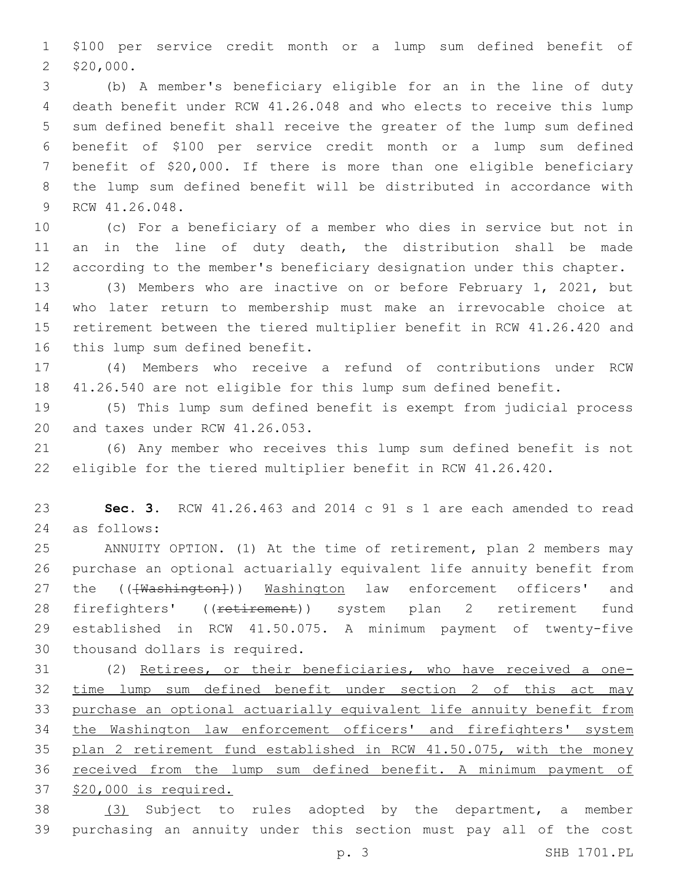\$100 per service credit month or a lump sum defined benefit of 2 \$20,000.

 (b) A member's beneficiary eligible for an in the line of duty death benefit under RCW 41.26.048 and who elects to receive this lump sum defined benefit shall receive the greater of the lump sum defined benefit of \$100 per service credit month or a lump sum defined benefit of \$20,000. If there is more than one eligible beneficiary the lump sum defined benefit will be distributed in accordance with 9 RCW 41.26.048.

 (c) For a beneficiary of a member who dies in service but not in 11 an in the line of duty death, the distribution shall be made according to the member's beneficiary designation under this chapter.

 (3) Members who are inactive on or before February 1, 2021, but who later return to membership must make an irrevocable choice at retirement between the tiered multiplier benefit in RCW 41.26.420 and 16 this lump sum defined benefit.

 (4) Members who receive a refund of contributions under RCW 41.26.540 are not eligible for this lump sum defined benefit.

 (5) This lump sum defined benefit is exempt from judicial process 20 and taxes under RCW 41.26.053.

 (6) Any member who receives this lump sum defined benefit is not eligible for the tiered multiplier benefit in RCW 41.26.420.

 **Sec. 3.** RCW 41.26.463 and 2014 c 91 s 1 are each amended to read as follows:24

 ANNUITY OPTION. (1) At the time of retirement, plan 2 members may purchase an optional actuarially equivalent life annuity benefit from 27 the (( $\overline{\text{Washington}}}$ )) Washington law enforcement officers' and 28 firefighters' ((retirement)) system plan 2 retirement fund established in RCW 41.50.075. A minimum payment of twenty-five 30 thousand dollars is required.

 (2) Retirees, or their beneficiaries, who have received a one- time lump sum defined benefit under section 2 of this act may purchase an optional actuarially equivalent life annuity benefit from the Washington law enforcement officers' and firefighters' system 35 plan 2 retirement fund established in RCW 41.50.075, with the money received from the lump sum defined benefit. A minimum payment of \$20,000 is required.

 (3) Subject to rules adopted by the department, a member purchasing an annuity under this section must pay all of the cost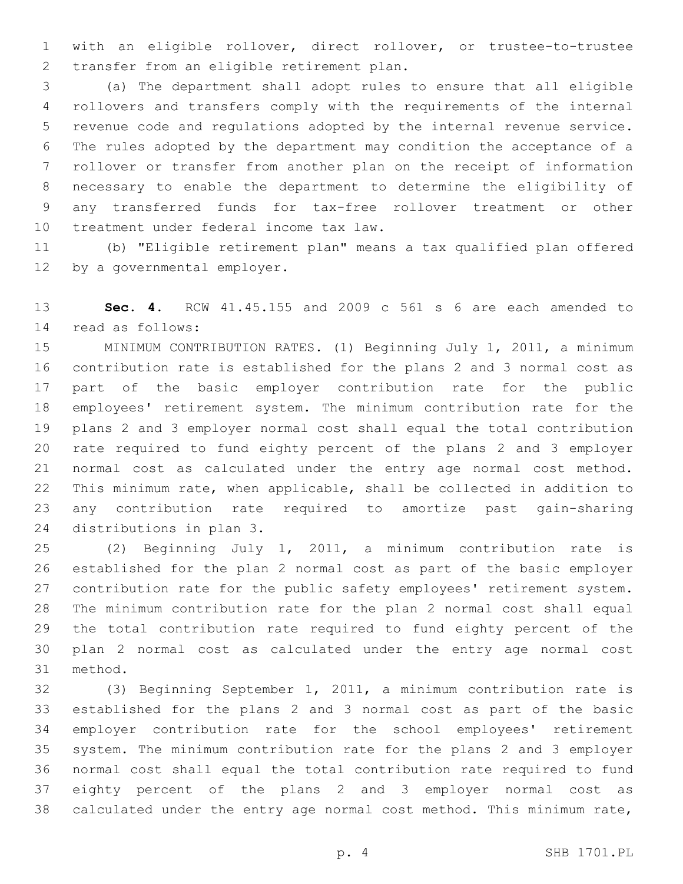with an eligible rollover, direct rollover, or trustee-to-trustee 2 transfer from an eligible retirement plan.

 (a) The department shall adopt rules to ensure that all eligible rollovers and transfers comply with the requirements of the internal revenue code and regulations adopted by the internal revenue service. The rules adopted by the department may condition the acceptance of a rollover or transfer from another plan on the receipt of information necessary to enable the department to determine the eligibility of any transferred funds for tax-free rollover treatment or other 10 treatment under federal income tax law.

 (b) "Eligible retirement plan" means a tax qualified plan offered 12 by a governmental employer.

 **Sec. 4.** RCW 41.45.155 and 2009 c 561 s 6 are each amended to read as follows:14

 MINIMUM CONTRIBUTION RATES. (1) Beginning July 1, 2011, a minimum contribution rate is established for the plans 2 and 3 normal cost as part of the basic employer contribution rate for the public employees' retirement system. The minimum contribution rate for the plans 2 and 3 employer normal cost shall equal the total contribution rate required to fund eighty percent of the plans 2 and 3 employer normal cost as calculated under the entry age normal cost method. This minimum rate, when applicable, shall be collected in addition to any contribution rate required to amortize past gain-sharing 24 distributions in plan 3.

 (2) Beginning July 1, 2011, a minimum contribution rate is established for the plan 2 normal cost as part of the basic employer contribution rate for the public safety employees' retirement system. The minimum contribution rate for the plan 2 normal cost shall equal the total contribution rate required to fund eighty percent of the plan 2 normal cost as calculated under the entry age normal cost 31 method.

 (3) Beginning September 1, 2011, a minimum contribution rate is established for the plans 2 and 3 normal cost as part of the basic employer contribution rate for the school employees' retirement system. The minimum contribution rate for the plans 2 and 3 employer normal cost shall equal the total contribution rate required to fund eighty percent of the plans 2 and 3 employer normal cost as calculated under the entry age normal cost method. This minimum rate,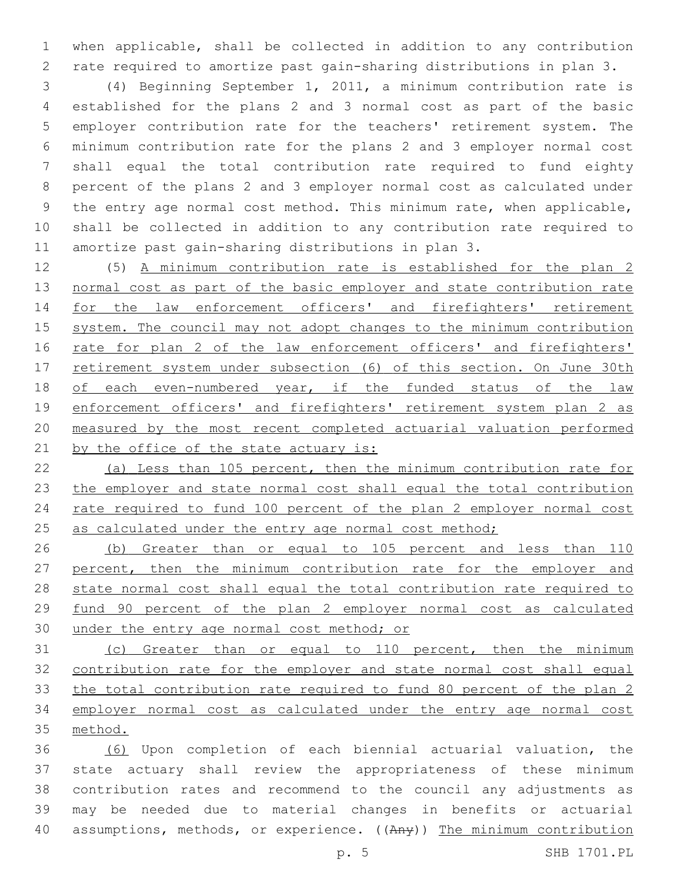when applicable, shall be collected in addition to any contribution rate required to amortize past gain-sharing distributions in plan 3.

 (4) Beginning September 1, 2011, a minimum contribution rate is established for the plans 2 and 3 normal cost as part of the basic employer contribution rate for the teachers' retirement system. The minimum contribution rate for the plans 2 and 3 employer normal cost shall equal the total contribution rate required to fund eighty percent of the plans 2 and 3 employer normal cost as calculated under the entry age normal cost method. This minimum rate, when applicable, shall be collected in addition to any contribution rate required to amortize past gain-sharing distributions in plan 3.

 (5) A minimum contribution rate is established for the plan 2 normal cost as part of the basic employer and state contribution rate for the law enforcement officers' and firefighters' retirement system. The council may not adopt changes to the minimum contribution 16 rate for plan 2 of the law enforcement officers' and firefighters' 17 retirement system under subsection (6) of this section. On June 30th of each even-numbered year, if the funded status of the law 19 enforcement officers' and firefighters' retirement system plan 2 as measured by the most recent completed actuarial valuation performed 21 by the office of the state actuary is:

 (a) Less than 105 percent, then the minimum contribution rate for the employer and state normal cost shall equal the total contribution rate required to fund 100 percent of the plan 2 employer normal cost 25 as calculated under the entry age normal cost method;

 (b) Greater than or equal to 105 percent and less than 110 percent, then the minimum contribution rate for the employer and state normal cost shall equal the total contribution rate required to fund 90 percent of the plan 2 employer normal cost as calculated 30 under the entry age normal cost method; or

 (c) Greater than or equal to 110 percent, then the minimum contribution rate for the employer and state normal cost shall equal the total contribution rate required to fund 80 percent of the plan 2 employer normal cost as calculated under the entry age normal cost method.

 (6) Upon completion of each biennial actuarial valuation, the state actuary shall review the appropriateness of these minimum contribution rates and recommend to the council any adjustments as may be needed due to material changes in benefits or actuarial 40 assumptions, methods, or experience. ((Any)) The minimum contribution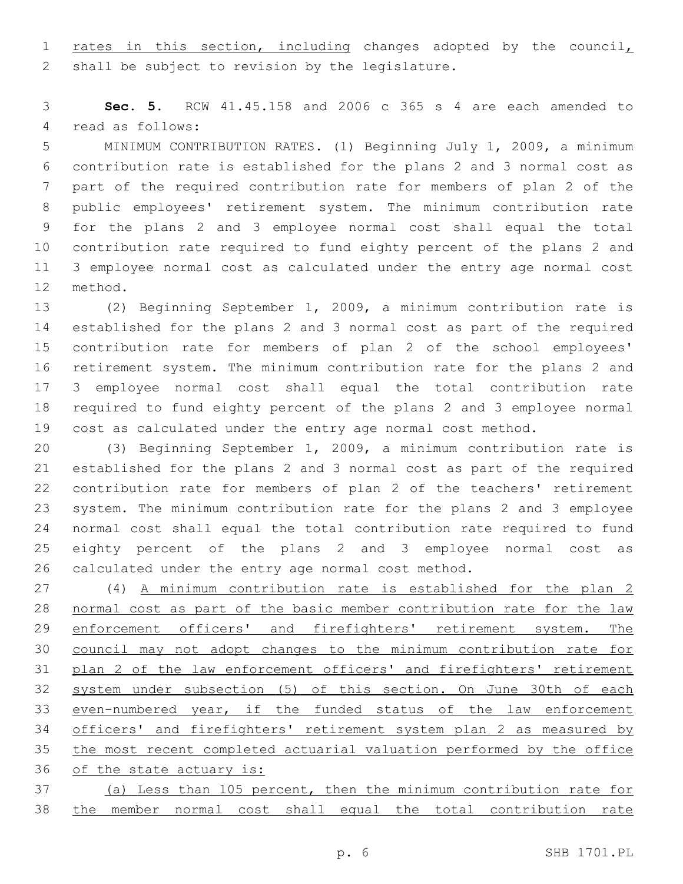1 rates in this section, including changes adopted by the council, 2 shall be subject to revision by the legislature.

 **Sec. 5.** RCW 41.45.158 and 2006 c 365 s 4 are each amended to 4 read as follows:

 MINIMUM CONTRIBUTION RATES. (1) Beginning July 1, 2009, a minimum contribution rate is established for the plans 2 and 3 normal cost as part of the required contribution rate for members of plan 2 of the public employees' retirement system. The minimum contribution rate for the plans 2 and 3 employee normal cost shall equal the total contribution rate required to fund eighty percent of the plans 2 and 3 employee normal cost as calculated under the entry age normal cost 12 method.

 (2) Beginning September 1, 2009, a minimum contribution rate is established for the plans 2 and 3 normal cost as part of the required contribution rate for members of plan 2 of the school employees' retirement system. The minimum contribution rate for the plans 2 and 3 employee normal cost shall equal the total contribution rate required to fund eighty percent of the plans 2 and 3 employee normal cost as calculated under the entry age normal cost method.

 (3) Beginning September 1, 2009, a minimum contribution rate is established for the plans 2 and 3 normal cost as part of the required contribution rate for members of plan 2 of the teachers' retirement system. The minimum contribution rate for the plans 2 and 3 employee normal cost shall equal the total contribution rate required to fund eighty percent of the plans 2 and 3 employee normal cost as calculated under the entry age normal cost method.

 (4) A minimum contribution rate is established for the plan 2 normal cost as part of the basic member contribution rate for the law 29 enforcement officers' and firefighters' retirement system. The council may not adopt changes to the minimum contribution rate for plan 2 of the law enforcement officers' and firefighters' retirement system under subsection (5) of this section. On June 30th of each even-numbered year, if the funded status of the law enforcement officers' and firefighters' retirement system plan 2 as measured by the most recent completed actuarial valuation performed by the office of the state actuary is:

 (a) Less than 105 percent, then the minimum contribution rate for the member normal cost shall equal the total contribution rate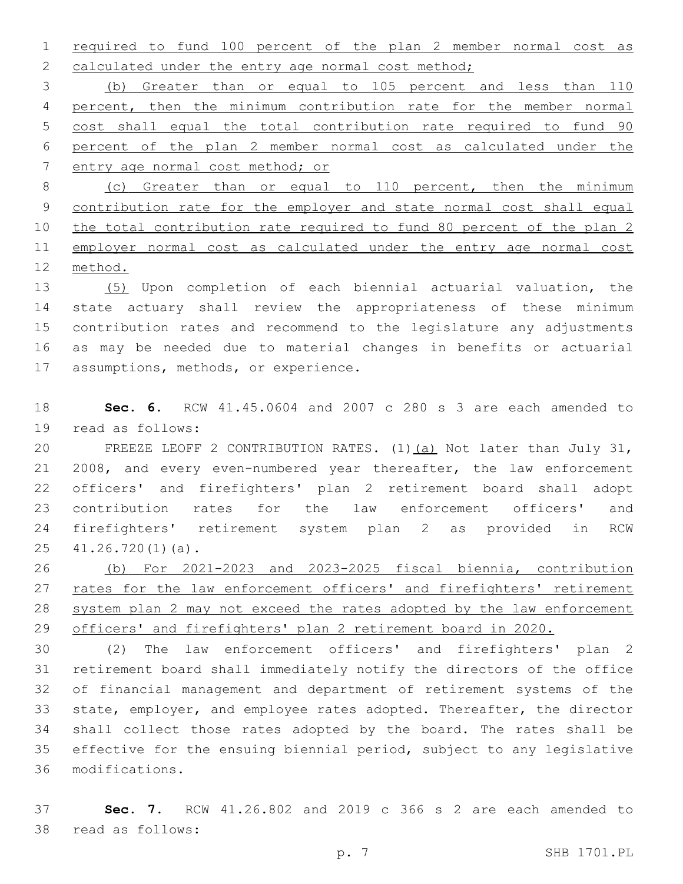required to fund 100 percent of the plan 2 member normal cost as 2 calculated under the entry age normal cost method;

 (b) Greater than or equal to 105 percent and less than 110 percent, then the minimum contribution rate for the member normal cost shall equal the total contribution rate required to fund 90 percent of the plan 2 member normal cost as calculated under the entry age normal cost method; or

 (c) Greater than or equal to 110 percent, then the minimum contribution rate for the employer and state normal cost shall equal the total contribution rate required to fund 80 percent of the plan 2 11 employer normal cost as calculated under the entry age normal cost method.

 (5) Upon completion of each biennial actuarial valuation, the state actuary shall review the appropriateness of these minimum contribution rates and recommend to the legislature any adjustments as may be needed due to material changes in benefits or actuarial 17 assumptions, methods, or experience.

 **Sec. 6.** RCW 41.45.0604 and 2007 c 280 s 3 are each amended to 19 read as follows:

 FREEZE LEOFF 2 CONTRIBUTION RATES. (1)(a) Not later than July 31, 2008, and every even-numbered year thereafter, the law enforcement officers' and firefighters' plan 2 retirement board shall adopt contribution rates for the law enforcement officers' and firefighters' retirement system plan 2 as provided in RCW  $41.26.720(1)(a)$ .

 (b) For 2021-2023 and 2023-2025 fiscal biennia, contribution 27 rates for the law enforcement officers' and firefighters' retirement system plan 2 may not exceed the rates adopted by the law enforcement officers' and firefighters' plan 2 retirement board in 2020.

 (2) The law enforcement officers' and firefighters' plan 2 retirement board shall immediately notify the directors of the office of financial management and department of retirement systems of the state, employer, and employee rates adopted. Thereafter, the director shall collect those rates adopted by the board. The rates shall be effective for the ensuing biennial period, subject to any legislative modifications.36

 **Sec. 7.** RCW 41.26.802 and 2019 c 366 s 2 are each amended to 38 read as follows: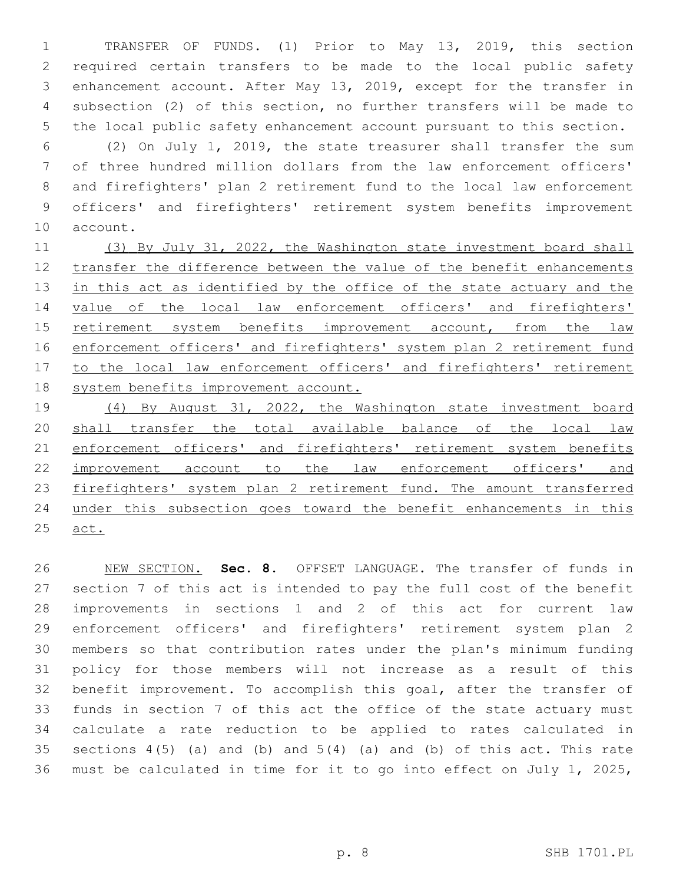TRANSFER OF FUNDS. (1) Prior to May 13, 2019, this section required certain transfers to be made to the local public safety enhancement account. After May 13, 2019, except for the transfer in subsection (2) of this section, no further transfers will be made to the local public safety enhancement account pursuant to this section.

 (2) On July 1, 2019, the state treasurer shall transfer the sum of three hundred million dollars from the law enforcement officers' and firefighters' plan 2 retirement fund to the local law enforcement officers' and firefighters' retirement system benefits improvement 10 account.

11 (3) By July 31, 2022, the Washington state investment board shall transfer the difference between the value of the benefit enhancements 13 in this act as identified by the office of the state actuary and the value of the local law enforcement officers' and firefighters' retirement system benefits improvement account, from the law 16 enforcement officers' and firefighters' system plan 2 retirement fund 17 to the local law enforcement officers' and firefighters' retirement system benefits improvement account.

 (4) By August 31, 2022, the Washington state investment board shall transfer the total available balance of the local law 21 enforcement officers' and firefighters' retirement system benefits improvement account to the law enforcement officers' and firefighters' system plan 2 retirement fund. The amount transferred under this subsection goes toward the benefit enhancements in this act.

 NEW SECTION. **Sec. 8.** OFFSET LANGUAGE. The transfer of funds in section 7 of this act is intended to pay the full cost of the benefit improvements in sections 1 and 2 of this act for current law enforcement officers' and firefighters' retirement system plan 2 members so that contribution rates under the plan's minimum funding policy for those members will not increase as a result of this benefit improvement. To accomplish this goal, after the transfer of funds in section 7 of this act the office of the state actuary must calculate a rate reduction to be applied to rates calculated in 35 sections  $4(5)$  (a) and (b) and  $5(4)$  (a) and (b) of this act. This rate must be calculated in time for it to go into effect on July 1, 2025,